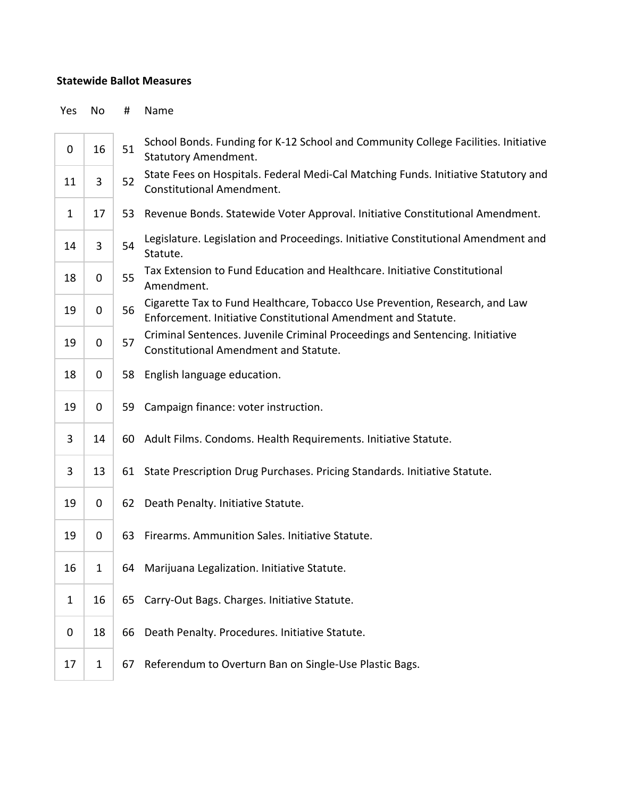## **Statewide Ballot Measures**

Yes No # Name

| 0            | 16           | 51 | School Bonds. Funding for K-12 School and Community College Facilities. Initiative<br><b>Statutory Amendment.</b>                            |
|--------------|--------------|----|----------------------------------------------------------------------------------------------------------------------------------------------|
| 11           | 3            | 52 | State Fees on Hospitals. Federal Medi-Cal Matching Funds. Initiative Statutory and<br><b>Constitutional Amendment.</b>                       |
| $\mathbf{1}$ | 17           | 53 | Revenue Bonds. Statewide Voter Approval. Initiative Constitutional Amendment.                                                                |
| 14           | 3            | 54 | Legislature. Legislation and Proceedings. Initiative Constitutional Amendment and<br>Statute.                                                |
| 18           | 0            | 55 | Tax Extension to Fund Education and Healthcare. Initiative Constitutional<br>Amendment.                                                      |
| 19           | 0            | 56 | Cigarette Tax to Fund Healthcare, Tobacco Use Prevention, Research, and Law<br>Enforcement. Initiative Constitutional Amendment and Statute. |
| 19           | 0            | 57 | Criminal Sentences. Juvenile Criminal Proceedings and Sentencing. Initiative<br>Constitutional Amendment and Statute.                        |
| 18           | 0            | 58 | English language education.                                                                                                                  |
| 19           | 0            | 59 | Campaign finance: voter instruction.                                                                                                         |
| 3            | 14           |    | 60 Adult Films. Condoms. Health Requirements. Initiative Statute.                                                                            |
| 3            | 13           |    | 61 State Prescription Drug Purchases. Pricing Standards. Initiative Statute.                                                                 |
| 19           | 0            | 62 | Death Penalty. Initiative Statute.                                                                                                           |
| 19           | 0            | 63 | Firearms. Ammunition Sales. Initiative Statute.                                                                                              |
| 16           | $\mathbf{1}$ | 64 | Marijuana Legalization. Initiative Statute.                                                                                                  |
| $\mathbf{1}$ | 16           |    | 65 Carry-Out Bags. Charges. Initiative Statute.                                                                                              |
| 0            | 18           | 66 | Death Penalty. Procedures. Initiative Statute.                                                                                               |
| 17           | $\mathbf{1}$ | 67 | Referendum to Overturn Ban on Single-Use Plastic Bags.                                                                                       |